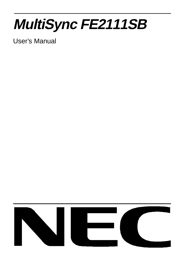# **MultiSync FE2111SB**

User's Manual

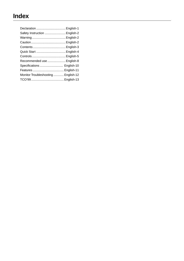| Declaration  English-1              |  |
|-------------------------------------|--|
| Safety Instruction  English-2       |  |
|                                     |  |
|                                     |  |
|                                     |  |
| Quick Start  English-4              |  |
|                                     |  |
| Recommended use  English-8          |  |
| Specifications  English-10          |  |
|                                     |  |
| Monitor Troubleshooting  English-12 |  |
|                                     |  |
|                                     |  |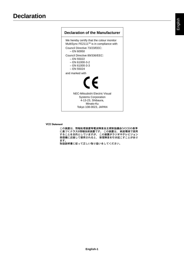### **Declaration of the Manufacturer** We hereby certify that the colour monitor MultiSync FE2111<sup>SB</sup> is in compliance with Council Directive 73/23/EEC: – EN 60950 Council Directive 89/336/EEC: – EN 55022 – EN 61000-3-2 – EN 61000-3-3 – EN 55024 and marked with  $\epsilon$

NEC-Mitsubishi Electric Visual Systems Corporation 4-13-23, Shibaura, Minato-Ku Tokyo 108-0023, JAPAN

**VCCI Statement**

この装置は、情報処理装置等電波障害自主規制協議会(VCCI)の基準 ます。

取扱説明書に従って正しい取り扱いをしてください。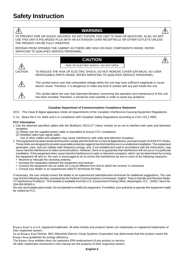### **WARNING**

TO PREVENT FIRE OR SHOCK HAZARDS, DO NOT EXPOSE THIS UNIT TO RAIN OR MOISTURE. ALSO, DO NOT USE THIS UNIT'S POLARIZED PLUG WITH AN EXTENSION CORD RECEPTACLE OR OTHER OUTLETS UNLESS THE PRONGS CAN BE FULLY INSERTED.

REFRAIN FROM OPENING THE CABINET AS THERE ARE HIGH VOLTAGE COMPONENTS INSIDE. REFER SERVICING TO QUALIFIED SERVICE PERSONNEL.

### **CAUTION**



'H

RISK OF ELECTRIC SHOCK • DO NOT OPEN

CAUTION: TO REDUCE THE RISK OF ELECTRIC SHOCK, DO NOT REMOVE COVER (OR BACK). NO USER SERVICEABLE PARTS INSIDE. REFER SERVICING TO QUALIFIED SERVICE PERSONNEL.



This symbol warns user that uninsulated voltage within the unit may have sufficient magnitude to cause electric shock. Therefore, it is dangerous to make any kind of contact with any part inside this unit.

Ţ

This symbol alerts the user that important literature concerning the operation and maintenance of this unit has been included. Therefore, it should be read carefully in order to avoid any problems.

#### **Canadian Department of Communications Compliance Statement**

DOC: This Class B digital apparatus meets all requirements of the Canadian Interference-Causing Equipment Regulations.

C-UL: Bears the C-UL Mark and is in compliance with Canadian Safety Regulations according to CSA C22.2 #950.

#### **FCC Information**

- 1. Use the attached specified cables with the MultiSync FE2111<sup>SB</sup> colour monitor so as not to interfere with radio and television reception.
	- (1) Please use the supplied power cable or equivalent to ensure FCC compliance.
	- (2) Shielded video type signal cable.
	- Use of other cables and adapters may cause interference with radio and television reception.
- 2. This equipment has been tested and found to comply with the limits for a Class B digital device, pursuant to part 15 of the FCC Rules. These limits are designed to provide reasonable protection against harmful interference in a residential installation. This equipment generates, uses, and can radiate radio frequency energy, and, if not installed and used in accordance with the instructions, may cause harmful interference to radio communications. However, there is no guarantee that interference will not occur in a particular installation. If this equipment does cause harmful interference to radio or television reception, which can be determined by turning the equipment off and on, the user is encouraged to try to correct the interference by one or more of the following measures:
	- Reorient or relocate the receiving antenna.
	- Increase the separation between the equipment and receiver.
	- Connect the equipment into an outlet on a circuit different from that to which the receiver is connected.
	- Consult your dealer or an experienced radio/TV technician for help.

If necessary, the user should contact the dealer or an experienced radio/television technician for additional suggestions. The user may find the following booklet, prepared by the Federal Communications Commission, helpful: "How to Identify and Resolve Radio-TV Interference Problems." This booklet is available from the U.S. Government Printing Office, Washington, D.C., 20402, Stock No. 004-000-00345-4.

No user serviceable parts inside. Do not attempt to modify this equipment. If modified, your authority to operate this equipment might be voided by FCC.

**ENERGY STAR®** is a U.S. registered trademark. All other brands and product names are trademarks or registered trademarks of their respective owners.

As an **ENERGY STAR** Partner, NEC-Mitsubishi Electric Visual Systems Corporation has determined that this product meets the **ENERGY STAR** guidelines for energy efficiency.

The **ENERGY STAR** emblem does not represent EPA endorsement of any product or service.

All other trademarks mentioned in this manual are the property of their respective owners.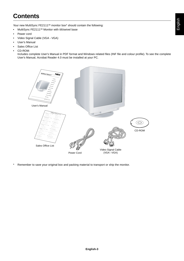# **Contents**

Your new MultiSync FE2111<sup>SB</sup> monitor box\* should contain the following:

- MultiSync FE2111<sup>SB</sup> Monitor with tilt/swivel base
- Power cord
- Video Signal Cable (VGA VGA)
- User's Manual
- Sales Office List
- CD-ROM:

Includes complete User's Manual in PDF format and Windows related files (INF file and colour profile). To see the complete User's Manual, Acrobat Reader 4.0 must be installed at your PC.



\* Remember to save your original box and packing material to transport or ship the monitor.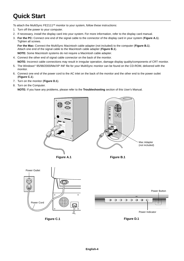## **Quick Start**

To attach the MultiSync FE2111<sup>SB</sup> monitor to your system, follow these instructions:

- 1. Turn off the power to your computer.
- 2. If necessary, install the display card into your system. For more information, refer to the display card manual.
- 3. **For the PC:** Connect one end of the signal cable to the connector of the display card in your system (**Figure A.1**). Tighten all screws.

**For the Mac:** Connect the MultiSync Macintosh cable adapter (not included) to the computer (**Figure B.1**). Attach one end of the signal cable to the Macintosh cable adapter (**Figure B.1**). **NOTE:** Some Macintosh systems do not require a Macintosh cable adapter.

- 4. Connect the other end of signal cable connector on the back of the monitor. **NOTE:** Incorrect cable connections may result in irregular operation, damage display quality/components of CRT monitor.
- 5. The Windows® 95/98/2000/Me/XP INF file for your MultiSync monitor can be found on the CD-ROM, delivered with the monitor.
- 6. Connect one end of the power cord to the AC inlet on the back of the monitor and the other end to the power outlet (**Figure C.1**).
- 7. Turn on the monitor (**Figure D.1**).
- 8. Turn on the Computer.

**NOTE:** If you have any problems, please refer to the **Troubleshooting** section of this User's Manual.







**Figure D.1**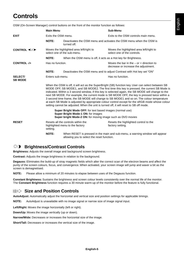# **Controls**

OSM (On-Screen Manager) control buttons on the front of the monitor function as follows:

|                                    | <b>Main Menu</b>    |                                                                                                                                                                                                                                                                                                                                                                                                                                                                                                                                                                                                                                                                                                     | Sub-Menu                                                                             |  |
|------------------------------------|---------------------|-----------------------------------------------------------------------------------------------------------------------------------------------------------------------------------------------------------------------------------------------------------------------------------------------------------------------------------------------------------------------------------------------------------------------------------------------------------------------------------------------------------------------------------------------------------------------------------------------------------------------------------------------------------------------------------------------------|--------------------------------------------------------------------------------------|--|
| <b>EXIT</b>                        | Exits the OSM menu. |                                                                                                                                                                                                                                                                                                                                                                                                                                                                                                                                                                                                                                                                                                     | Exits to the OSM controls main menu.                                                 |  |
|                                    | <b>NOTE:</b>        | turned off.                                                                                                                                                                                                                                                                                                                                                                                                                                                                                                                                                                                                                                                                                         | Deactivates the OSM menu and activates the OSM menu when the OSM is                  |  |
| CONTROL $\prec$ / $\triangleright$ |                     | Moves the highlighted area left/right to<br>select one of the sub-menu.                                                                                                                                                                                                                                                                                                                                                                                                                                                                                                                                                                                                                             | Moves the highlighted area left/right to<br>select one of the controls.              |  |
|                                    | <b>NOTE:</b>        | When the OSM menu is off, it acts as a Hot key for Brightness.                                                                                                                                                                                                                                                                                                                                                                                                                                                                                                                                                                                                                                      |                                                                                      |  |
| <b>CONTROL-/+</b>                  | Has no function.    |                                                                                                                                                                                                                                                                                                                                                                                                                                                                                                                                                                                                                                                                                                     | Moves the bar in the $-$ or $+$ direction to<br>decrease or increase the adjustment. |  |
|                                    | <b>NOTE:</b>        | Deactivates the OSM menu and to adjust Contrast with Hot key set "ON"                                                                                                                                                                                                                                                                                                                                                                                                                                                                                                                                                                                                                               |                                                                                      |  |
| <b>SELECT/</b><br><b>SB MODE</b>   | Enters sub-menu.    |                                                                                                                                                                                                                                                                                                                                                                                                                                                                                                                                                                                                                                                                                                     | Has no function.                                                                     |  |
|                                    |                     | When the OSM is off, it will act as the SuperBright (SB) function key. User can select between SB<br>MODE OFF, SB MODE1, and SB MODE2. The first time this key is pressed, the current SB Mode is<br>indicated. Within a 3 second window, if this key is selected again, the SB MODE will change to the<br>next SB MODE. For example, the current mode is SB MODE OFF, the key is pressed twice within a<br>3 second time frame, the SB MODE will change to SB MODE1 and so on. The colour temperature<br>at each SB Mode is adjusted by appropriate colour control except for the sRGB mode whose colour<br>setting cannot be adjusted. When the unit is turned off, it will reset to SB off mode. |                                                                                      |  |
|                                    |                     | <b>Super Bright Mode OFF:</b> for text based images (normal use)<br>Super Bright Mode-1 ON: for images<br>Super bright Mode-2 ON: for moving image such as DVD movies                                                                                                                                                                                                                                                                                                                                                                                                                                                                                                                               |                                                                                      |  |
| <b>RESET</b>                       | setting.            | Resets all the controls within the<br>highlighted menu to the factory                                                                                                                                                                                                                                                                                                                                                                                                                                                                                                                                                                                                                               | Resets the highlighted control to the<br>factory setting.                            |  |
|                                    | <b>NOTE:</b>        | allowing you to select the reset function.                                                                                                                                                                                                                                                                                                                                                                                                                                                                                                                                                                                                                                                          | When RESET is pressed in the main and sub-menu, a warning window will appear         |  |

#### $\bigcirc$ **Brightness/Contrast Controls**

**Brightness:** Adjusts the overall image and background screen brightness.

**Contrast:** Adjusts the image brightness in relation to the background.

**Degauss:** Eliminates the build-up of stray magnetic fields which alter the correct scan of the electron beams and affect the purity of the screen colours, focus, and convergence. When activated, your screen image will jump and waver a bit as the screen is demagnetised.

**NOTE:** Please allow a minimum of 20 minutes to elapse between uses of the Degauss function.

**Constant Brightness:** Sustains the brightness and screen colour levels consistently over the normal life of the monitor. The **Constant Brightness** function requires a 30 minute warm-up of the monitor before the feature is fully functional.

### **Size and Position Controls**

**AutoAdjust:** Automatically adjust the horizontal and vertical size and position settings for applicable timings.

**NOTE:** AutoAdjust is unavailable with no image signal or narrow size of image signal input.

**Left/Right:** Moves the image horizontally (left or right).

**Down/Up:** Moves the image vertically (up or down).

**Narrow/Wide:** Decreases or increases the horizontal size of the image.

**Short/Tall:** Decreases or increases the vertical size of the image.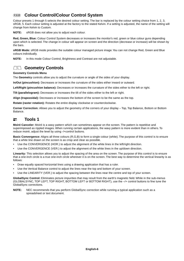#### (ROB) **Colour Control/Colour Control System**

Colour presets 1 through 5 selects the desired colour setting. The bar is replaced by the colour setting choice from 1, 2, 3, sRGB, 5. Each colour setting is adjusted at the factory to the stated Kelvin. If a setting is adjusted, the name of the setting will change from Kelvin to Custom.

**NOTE:** sRGB does not allow you to adjust each colour.

**Red, Green, Blue:** Colour Control System decreases or increases the monitor's red, green or blue colour guns depending upon which is selected. The change in colour will appear on screen and the direction (decrease or increase) will be shown by the bars.

**sRGB Mode:** sRGB mode provides the suitable colour managed picture image. You can not change Red, Green and Blue colours individually.

**NOTE:** In this mode Colour Control, Brightness and Contrast are not adjustable.

### **Geometry Controls**

#### **Geometry Controls Menu**

The **Geometry** controls allow you to adjust the curvature or angle of the sides of your display.

**In/Out (pincushion):** Decreases or increases the curvature of the sides either inward or outward.

**Left/Right (pincushion balance):** Decreases or increases the curvature of the sides either to the left or right.

**Tilt (parallelogram):** Decreases or increases the tilt of the sides either to the left or right.

**Align (trapezoidal):** Decreases or increases the bottom of the screen to be the same as the top.

**Rotate (raster rotation):** Rotates the entire display clockwise or counterclockwise.

**Corner Correction:** Allows you to adjust the geometry of the corners of your display – Top, Top Balance, Bottom or Bottom Balance.

#### $\equiv$ **Tools 1**

**Moiré Canceler:** Moiré is a wavy pattern which can sometimes appear on the screen. The pattern is repetitive and superimposed as rippled images. When running certain applications, the wavy pattern is more evident than in others. To reduce moiré, adjust the level by using -/+control buttons.

**Basic Convergence:** Aligns all three colours (R,G,B) to form a single colour (white). The purpose of this control is to ensure that a white line drawn on the screen is as crisp and clear as possible.

- Use the CONVERGENCE (HOR.) to adjust the alignment of the white lines in the left/right direction.
- Use the CONVERGENCE (VER.) to adjust the alignment of the white lines in the up/down direction.

**Linearity:** This selection allows you to adjust the spacing of the area on the screen. The purpose of this control is to ensure that a one-inch circle is a true one-inch circle wherever it is on the screen. The best way to determine the vertical linearity is as follows:

- Draw equally spaced horizontal lines using a drawing application that has a ruler.
- Use the Vertical Balance control to adjust the lines near the top and bottom of your screen.
- Use the LINEARITY (VER.) to adjust the spacing between the lines near the centre and top of your screen.

**GlobalSync Control:** Eliminates picture impurities that may result from the earth's magnetic field. While in the sub-menus (GLOBALSYNC, TOP LEFT, TOP RIGHT, BOTTOM LEFT or BOTTOM RIGHT), use the –/+ control buttons to fine tune the GlobalSync corrections.

**NOTE:** NEC recommends that you perform GlobalSync correction while running a typical application such as a spreadsheet or text document.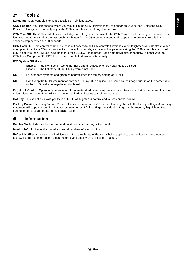#### $\equiv$ **Tools 2**

**Language:** OSM controls menus are available in six languages.

**OSM Position:** You can choose where you would like the OSM controls menu to appear on your screen. Selecting OSM Position allows you to manually adjust the OSM controls menu left, right, up or down.

**OSM Turn Off:** The OSM controls menu will stay on as long as it is in use. In the OSM Turn Off sub-menu, you can select how long the monitor waits after the last touch of a button for the OSM controls menu to disappear. The preset choice is in 5 seconds step between 5–120 seconds.

**OSM Lock Out:** This control completely locks out access to all OSM controls functions except Brightness and Contrast. When attempting to activate OSM controls while in the lock out mode, a screen will appear indicating that OSM controls are locked out. To activate the OSM Lock Out function, press SELECT, then press + and hold down simultaneously. To deactivate the OSM Lock Out, press SELECT, then press + and hold down simultaneously.

#### **IPM System Off Mode:**

Enable: The IPM System works normally and all stages of energy savings are utilised.

Disable: The Off Mode of the IPM System is not used.

- **NOTE:** For standard systems and graphics boards, keep the factory setting at ENABLE.
- **NOTE:** Don't keep the MultiSync monitor on when 'No Signal' is applied. This could cause image burn in on the screen due to the 'No Signal' message being displayed.

**EdgeLock Control:** Operating your monitor at a non-standard timing may cause images to appear darker than normal or have colour distortion. Use of the EdgeLock control will adjust images to their normal state.

**Hot Key:** This selection allows you to use  $\blacktriangleleft$  /  $\blacktriangleright$  as brightness control and  $-\prime$ + as contrast control.

**Factory Preset:** Selecting Factory Preset allows you a reset most OSM control settings back to the factory settings. A warning statement will appear to confirm that you do want to reset ALL settings. Individual settings can be reset by highlighting the control to be reset and pressing the **RESET** button.

#### **Information**  $\bullet$

**Display Mode:** Indicates the current mode and frequency setting of the monitor.

**Monitor Info:** Indicates the model and serial numbers of your monitor.

**Refresh Notifier:** A message will advise you if the refresh rate of the signal being applied to the monitor by the computer is too low. For further information, please refer to your display card or system manual.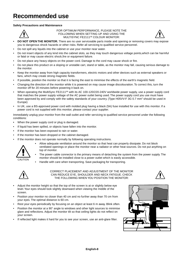#### **Safety Precautions and Maintenance**



FOR OPTIMUM PERFORMANCE, PLEASE NOTE THE FOLLOWING WHEN SETTING UP AND USING THE MULTISYNC FE2111<sup>SB</sup> COLOUR MONITOR:



- **• DO NOT OPEN THE MONITOR.** There are no user serviceable parts inside and opening or removing covers may expose you to dangerous shock hazards or other risks. Refer all servicing to qualified service personnel.
- Do not spill any liquids into the cabinet or use your monitor near water.
- Do not insert objects of any kind into the cabinet slots, as they may touch dangerous voltage points,which can be harmful or fatal or may cause electric shock,fire or equipment failure.
- Do not place any heavy objects on the power cord. Damage to the cord may cause shock or fire.
- Do not place this product on a sloping or unstable cart, stand or table, as the monitor may fall, causing serious damage to the monitor.
- Keep the monitor away from high capacity transformers, electric motors and other devices such as external speakers or fans, which may create strong magnetic fields.
- If possible, position the monitor so that it is facing the east to minimise the effects of the earth's magnetic field.
- Changing the direction of the monitor while it is powered on may cause image discolouration. To correct this, turn the monitor off for 20 minutes before powering it back on.
- When operating the MultiSync FE2111<sup>SB</sup> with its AC 100-120/220-240V worldwide power supply, use a power supply cord that matches the power supply voltage of the AC power outlet being used. The power supply cord you use must have been approved by and comply with the safety standards of your country. (Type H05VV-F 3G 0.7 mm<sup>2</sup> should be used in Europe)
- In UK, use a BS-approved power cord with molded plug having a black (5A) fuse installed for use with this monitor. If a power cord is not supplied with this monitor, please contact your supplier.

Immediately unplug your monitor from the wall outlet and refer servicing to qualified service personnel under the following conditions:

- **•** When the power supply cord or plug is damaged.
- If liquid has been spilled, or objects have fallen into the monitor.
- If the monitor has been exposed to rain or water.
- If the monitor has been dropped or the cabinet damaged.
- If the monitor does not operate normally by following operating instructions.



- **•** Allow adequate ventilation around the monitor so that heat can properly dissipate. Do not block ventilated openings or place the monitor near a radiator or other heat sources. Do not put anything on top of monitor.
- The power cable connector is the primary means of detaching the system from the power supply. The monitor should be installed close to a power outlet which is easily accessible.
- Handle with care when transporting. Save packaging for transporting.



CORRECT PLACEMENT AND ADJUSTMENT OF THE MONITOR CAN REDUCE EYE, SHOULDER AND NECK FATIGUE. CHECK THE FOLLOWING WHEN YOU POSITION THE MONITOR:



- **•** Adjust the monitor height so that the top of the screen is at or slightly below eye level. Your eyes should look slightly downward when viewing the middle of the screen.
- Position your monitor no closer than 40 cm and no further away than 70 cm from your eyes. The optimal distance is 60 cm.
- Rest your eyes periodically by focusing on an object at least 6 m away. Blink often.
- Position the monitor at a 90° angle to windows and other light sources to minimise glare and reflections. Adjust the monitor tilt so that ceiling lights do not reflect on your screen.
- If reflected light makes it hard for you to see your screen, use an anti-glare filter.

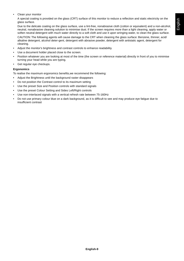• Clean your monitor

A special coating is provided on the glass (CRT) surface of this monitor to reduce a reflection and static electricity on the glass surface.

Due to the delicate coating on the glass surface, use a lint-free, nonabrasive cloth (cotton or equivalent) and a non-alcohol, neutral, nonabrasive cleaning solution to minimise dust. If the screen requires more than a light cleaning, apply water or soften neutral detergent with much water directly to a soft cloth and use it upon wringing water, to clean the glass surface. CAUTION: The following agents will cause damage to the CRT when cleaning the glass surface: Benzene, thinner, acid/ alkaline detergent, alcohol deter-gent, detergent with abrasive powder, detergent with antistatic agent, detergent for cleaning.

- Adjust the monitor's brightness and contrast controls to enhance readability.
- Use a document holder placed close to the screen.
- Position whatever you are looking at most of the time (the screen or reference material) directly in front of you to minimise turning your head while you are typing.
- Get regular eye checkups.

#### **Ergonomics**

To realise the maximum ergonomics benefits,we recommend the following:

- **•** Adjust the Brightness until the background raster disappears
- Do not position the Contrast control to its maximum setting
- Use the preset Size and Position controls with standard signals
- Use the preset Colour Setting and Sides Left/Right controls
- Use non-interlaced signals with a vertical refresh rate between 75-160Hz
- Do not use primary colour blue on a dark background, as it is difficult to see and may produce eye fatigue due to insufficient contrast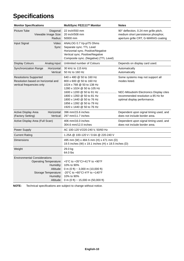# **Specifications**

| <b>Monitor Specifications</b>                                                                                                       | MultiSync FE2111 <sup>SB</sup> Monitor                                                                                                                                                                                                                           | <b>Notes</b>                                                                                                                                                        |
|-------------------------------------------------------------------------------------------------------------------------------------|------------------------------------------------------------------------------------------------------------------------------------------------------------------------------------------------------------------------------------------------------------------|---------------------------------------------------------------------------------------------------------------------------------------------------------------------|
| Picture Tube<br>Viewable Image Size:<br>Radius:                                                                                     | Diagonal: 22 inch/550 mm<br>20 inch/508 mm<br>50000 mm                                                                                                                                                                                                           | 90° deflection, 0.24 mm grille pitch,<br>medium short persistence phosphor,<br>aperture grille CRT, G-WARAS coating                                                 |
| Input Signal                                                                                                                        | Video: ANALOG 0.7 Vp-p/75 Ohms<br>Sync: Separate sync. TTL Level<br>Horizontal sync. Positive/Negative<br>Vertical sync. Positive/Negative<br>Composite sync. (Negative) (TTL Level)                                                                             |                                                                                                                                                                     |
| <b>Display Colours</b><br>Analog input:                                                                                             | Unlimited number of Colours                                                                                                                                                                                                                                      | Depends on display card used.                                                                                                                                       |
| Horizontal:<br><b>Synchronization Range</b><br>Vertical:                                                                            | 30 kHz to 115 kHz<br>50 Hz to 160 Hz                                                                                                                                                                                                                             | Automatically<br>Automatically                                                                                                                                      |
| <b>Resolutions Supported</b><br>Resolution based on horizontal and<br>vertical frequencies only                                     | 640 x 480 @ 50 to 160 Hz<br>800 x 600 @ 50 to 160 Hz<br>1024 x 768 @ 50 to 138 Hz<br>1280 x 1024 @ 50 to 105 Hz<br>1600 x 1200 @ 50 to 91 Hz<br>1800 x 1350 @ 50 to 81 Hz<br>1800 x 1440 @ 50 to 76 Hz<br>1856 x 1392 @ 50 to 79 Hz<br>1920 x 1440 @ 50 to 76 Hz | Some systems may not support all<br>modes listed.<br>NEC-Mitsubishi Electronics Display cites<br>recommended resolution a 85 Hz for<br>optimal display performance. |
| Active Display Area<br>Horizontal:<br>(Factory Setting)                                                                             | 396 mm/15.6 inches<br>Vertical: 297 mm/11.7 inches                                                                                                                                                                                                               | Dependent upon signal timing used, and<br>does not include border area.                                                                                             |
| Active Display Area (Full Scan)                                                                                                     | 406 mm/16.0 inches<br>304.6 mm/12.0 inches                                                                                                                                                                                                                       | Dependent upon signal timing used, and<br>does not include border area.                                                                                             |
| Power Supply                                                                                                                        | AC 100-120 V/220-240 V, 50/60 Hz                                                                                                                                                                                                                                 |                                                                                                                                                                     |
| <b>Current Rating</b>                                                                                                               | 1.25A @ 100-120 V / 0.6A @ 220-240 V                                                                                                                                                                                                                             |                                                                                                                                                                     |
| <b>Dimensions</b>                                                                                                                   | 495 mm (W) x 484.5 mm (H) x 471 mm (D)<br>19.5 inches (W) x 19.1 inches (H) x 18.5 inches (D)                                                                                                                                                                    |                                                                                                                                                                     |
| Weight                                                                                                                              | 29.0 kg<br>64.0 lbs                                                                                                                                                                                                                                              |                                                                                                                                                                     |
| <b>Environmental Considerations</b><br><b>Operating Temperature:</b><br>Humidity:<br>Altitude:<br>Storage Temperature:<br>Humidity: | +5°C to +35°C/+41°F to +90°F<br>10% to 90%<br>0 m (0 ft) $\sim$ 3,000 m (10,000 ft)<br>-20°C to +60°C/-4°F to +140°F<br>10% to 90%<br>Altitude: 0 m (0 ft) $\sim$ 15,000 m (50,000 ft)                                                                           |                                                                                                                                                                     |

**NOTE:** Technical specifications are subject to change without notice.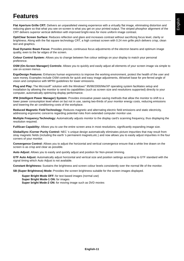### **Features**

**Flat Aperture Grille CRT:** Delivers an unparalleled viewing experience with a virtually flat image, eliminating distortion and reducing glare so that what you see on-screen is what you get on your printed output. The striped phosphor alignment of the CRT delivers superior vertical definition with improved bright-ness for more uniform image contrast.

**OptiClear Screen Surface:** Reduces reflection and glare and increases contrast without sacrificing focus level, clarity or brightness. Along with the flat square technology CRT, a high contrast screen with 0.24 mm grille pitch delivers crisp, clean text and graphics.

**Dual Dynamic Beam Focus:** Provides precise, continuous focus adjustments of the electron beams and optimum image quality, even to the far edges of the screen.

**Colour Control System:** Allows you to change between five colour settings on your display to match your personal preference.

**OSM (On-Screen Manager) Controls:** Allows you to quickly and easily adjust all elements of your screen image via simple to use on-screen menus.

**ErgoDesign Features:** Enhances human ergonomics to improve the working environment, protect the health of the user and save money. Examples include OSM controls for quick and easy image adjustments, tilt/swivel base for pre-ferred angle of vision and compliance with MPRII guidelines for lower emissions.

**Plug and Play:** The Microsoft® solution with the Windows® 95/98/2000/Me/XP operating system facilitates setup and installation by allowing the monitor to send its capabilities (such as screen size and resolutions supported) directly to your computer, automatically optimizing display performance.

**IPM (Intelligent Power Manager) System:** Provides innovative power-saving methods that allow the monitor to shift to a lower power consumption level when on but not in use, saving two-thirds of your monitor energy costs, reducing emissions and lowering the air conditioning costs of the workplace.

**Reduced Magnetic Field Technology:** Reduces magnetic and alternating electric field emissions and static electricity, addressing ergonomic concerns regarding potential risks from extended computer monitor use.

**Multiple Frequency Technology:** Automatically adjusts monitor to the display card's scanning frequency, thus displaying the resolution required.

**FullScan Capability:** Allows you to use the entire screen area in most resolutions, significantly expanding image size.

**GlobalSync /Corner Purity Control:** NEC 's unique design automatically eliminates picture impurities that may result from stray magnetic fields (including the earth 's permanent magnets,etc.) and now allows you to easily adjust impurities in the four corners of your monitor.

**Convergence Control:** Allows you to adjust the horizontal and vertical convergence ensure that a white line drawn on the screen is as crisp and clear as possible.

**Auto Adjust:** Allows you to easily and quickly adjust and position for Non-preset timming.

**GTF Auto Adjust:** Automatically adjust horizontal and vertical size and position settings according to GTF standard with the signal timing which Auto Adjust is not available.

**Constant Brightness:** Sustains the brightness and screen colour levels consistently over the normal life of the monitor.

**SB (Super Brightness) Mode:** Provides the screen brightness suitable for the screen images displayed.

**Super Bright Mode OFF:** for text based images (normal use) **Super Bright Mode-1 ON:** for images **Super bright Mode-2 ON:** for moving image such as DVD movies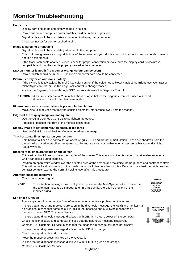#### **No picture**

- Display card should be completely seated in its slot.
- Power Button and computer power switch should be in the ON position.
- Signal cable should be completely connected to display card/computer.
- Check connector for bent or pushed-in pins.

#### **Image is scrolling or unstable**

- Signal cable should be completely attached to the computer.
- Check pin assignments and signal timings of the monitor and your display card with respect to recommended timings and pin assignments.
- If the Macintosh cable adapter is used, check for proper connection or make sure the display card is Macintosh compatible and that the card is properly seated in the computer.

#### **LED on monitor is not lit (no green or orange colour can be seen)**

• Power Switch should be in the ON position and power cord should be connected.

#### **Picture is fuzzy or colour looks blotchy**

- If the picture is fuzzy, adjust the Moiré Canceler control. If the colour looks blotchy, adjust the Brightness, Contrast or GlobalSync controls, or use the EdgeLock control to change modes.
- Access the Degauss Control through OSM controls. Activate the Degauss Control.

**CAUTION:** A minimum interval of 20 minutes should elapse before the Degauss Control is used a second time when not switching between modes.

#### **Picture bounces or a wavy pattern is present in the picture**

• Move electrical devices that may be causing electrical interference away from the monitor.

#### **Edges of the display image are not square**

- Use the OSM Geometry Controls to straighten the edges.
- If possible, position the front of the monitor facing east.

#### **Display image is not centered, too small, or too large**

• Use the OSM Size and Position Controls to adjust the image.

#### **Thin horizontal lines appear on your screen**

• Thin horizontal lines are normal for an aperture grille CRT and are not a malfunction. These are shadows from the damper wires used to stabilize the aperture grille and are most noticeable when the screen's background is light (usually white).

#### **Black vertical lines are visible on the screen**

- Thin vertical black lines on one or both sides of the screen. This minor condition is caused by grille element overlap which can occur during shipping.
- Position an open white window over the affected area of the screen and maximize the brightness and contrast controls. This will cause localized heating of the overlap which will clear in a few minutes. Be sure to readjust the brightness and contrast controls back to the normal viewing level after this procedure.

#### **Attention message displayed**

- Check the inputted signal.
- **NOTE:** The attention message may display when power on the MultiSync monitor. In case that the attention message disappear after in a little while, there is no problem at the inputted signal.

#### **Self check function**

- Press any control button on the front of monitor when you see a problem on the screen.
- In case that all R, G and B colours are seen in the diagnosis message, the MultiSync monitor has no problem. In case that some colour is lack in the message, the MultiSync monitor has a problem. Contact NEC Customer Service.
- In case that no diagnosis message displayed with LED lit in green, power off the computer.
- Check the signal cable and computer in case that the diagnosis message displayed.
- Contact NEC Customer Service in case that the diagnosis message still does not display.
- In case that no diagnosis message displayed with LED lit in orange.
- Check the signal cable and computer.
- Move the mouse or press any key on the keyboard.
- In case that no diagnosis message displayed with LED lit in green and orange.
- Contact NEC Customer Service.

# FH D 24.8KHz<br>FV D 43.0Hz **PLEASE CHANGE**<br>SIGNAL TIMING

**ATTENTION** SIGNAL FREQUEN



#### **English-12**